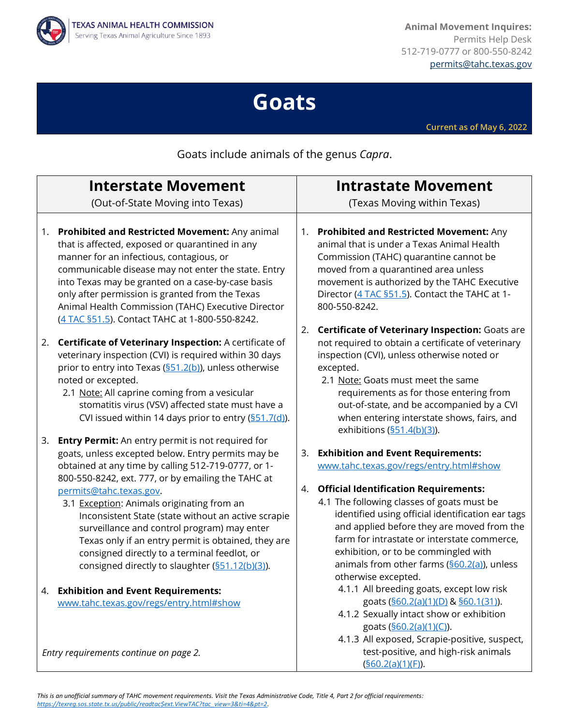

**Animal Movement Inquires:** Permits Help Desk 512-719-0777 or 800-550-8242 [permits@tahc.texas.gov](mailto:permits@tahc.texas.gov)

## **Goats**

**Current as of May 6, 2022**

Goats include animals of the genus *Capra*.

| <b>Interstate Movement</b>                                                                                                                                                                                                                                                                                                                                                                                                                                                                                                                                                 | <b>Intrastate Movement</b>                                                                                                                                                                                                                                                                                                                                                                                                                                     |
|----------------------------------------------------------------------------------------------------------------------------------------------------------------------------------------------------------------------------------------------------------------------------------------------------------------------------------------------------------------------------------------------------------------------------------------------------------------------------------------------------------------------------------------------------------------------------|----------------------------------------------------------------------------------------------------------------------------------------------------------------------------------------------------------------------------------------------------------------------------------------------------------------------------------------------------------------------------------------------------------------------------------------------------------------|
| (Out-of-State Moving into Texas)                                                                                                                                                                                                                                                                                                                                                                                                                                                                                                                                           | (Texas Moving within Texas)                                                                                                                                                                                                                                                                                                                                                                                                                                    |
| Prohibited and Restricted Movement: Any animal<br>1.<br>that is affected, exposed or quarantined in any<br>manner for an infectious, contagious, or<br>communicable disease may not enter the state. Entry<br>into Texas may be granted on a case-by-case basis<br>only after permission is granted from the Texas<br>Animal Health Commission (TAHC) Executive Director<br>(4 TAC §51.5). Contact TAHC at 1-800-550-8242.                                                                                                                                                 | Prohibited and Restricted Movement: Any<br>1.<br>animal that is under a Texas Animal Health<br>Commission (TAHC) quarantine cannot be<br>moved from a quarantined area unless<br>movement is authorized by the TAHC Executive<br>Director (4 TAC §51.5). Contact the TAHC at 1-<br>800-550-8242.                                                                                                                                                               |
| Certificate of Veterinary Inspection: A certificate of<br>2.<br>veterinary inspection (CVI) is required within 30 days<br>prior to entry into Texas (§51.2(b)), unless otherwise<br>noted or excepted.<br>2.1 Note: All caprine coming from a vesicular<br>stomatitis virus (VSV) affected state must have a<br>CVI issued within 14 days prior to entry (§51.7(d)).                                                                                                                                                                                                       | <b>Certificate of Veterinary Inspection: Goats are</b><br>2.<br>not required to obtain a certificate of veterinary<br>inspection (CVI), unless otherwise noted or<br>excepted.<br>2.1 Note: Goats must meet the same<br>requirements as for those entering from<br>out-of-state, and be accompanied by a CVI<br>when entering interstate shows, fairs, and<br>exhibitions $(\underline{\$51.4(b)(3)})$ .                                                       |
| <b>Entry Permit:</b> An entry permit is not required for<br>3.<br>goats, unless excepted below. Entry permits may be<br>obtained at any time by calling 512-719-0777, or 1-<br>800-550-8242, ext. 777, or by emailing the TAHC at<br>permits@tahc.texas.gov.<br>3.1 Exception: Animals originating from an<br>Inconsistent State (state without an active scrapie<br>surveillance and control program) may enter<br>Texas only if an entry permit is obtained, they are<br>consigned directly to a terminal feedlot, or<br>consigned directly to slaughter (S51.12(b)(3)). | <b>Exhibition and Event Requirements:</b><br>3.<br>www.tahc.texas.gov/regs/entry.html#show<br><b>Official Identification Requirements:</b><br>4.<br>4.1 The following classes of goats must be<br>identified using official identification ear tags<br>and applied before they are moved from the<br>farm for intrastate or interstate commerce,<br>exhibition, or to be commingled with<br>animals from other farms (§60.2(a)), unless<br>otherwise excepted. |
| <b>Exhibition and Event Requirements:</b><br>4.<br>www.tahc.texas.gov/regs/entry.html#show<br>Entry requirements continue on page 2.                                                                                                                                                                                                                                                                                                                                                                                                                                       | 4.1.1 All breeding goats, except low risk<br>goats (§60.2(a)(1)(D) & §60.1(31)).<br>4.1.2 Sexually intact show or exhibition<br>goats (\$60.2(a)(1)(C)).<br>4.1.3 All exposed, Scrapie-positive, suspect,<br>test-positive, and high-risk animals<br>(§60.2(a)(1)(F)).                                                                                                                                                                                         |

*This is an unofficial summary of TAHC movement requirements. Visit the Texas Administrative Code, Title 4, Part 2 for official requirements: [https://texreg.sos.state.tx.us/public/readtac\\$ext.ViewTAC?tac\\_view=3&ti=4&pt=2.](https://texreg.sos.state.tx.us/public/readtac$ext.ViewTAC?tac_view=3&ti=4&pt=2)*